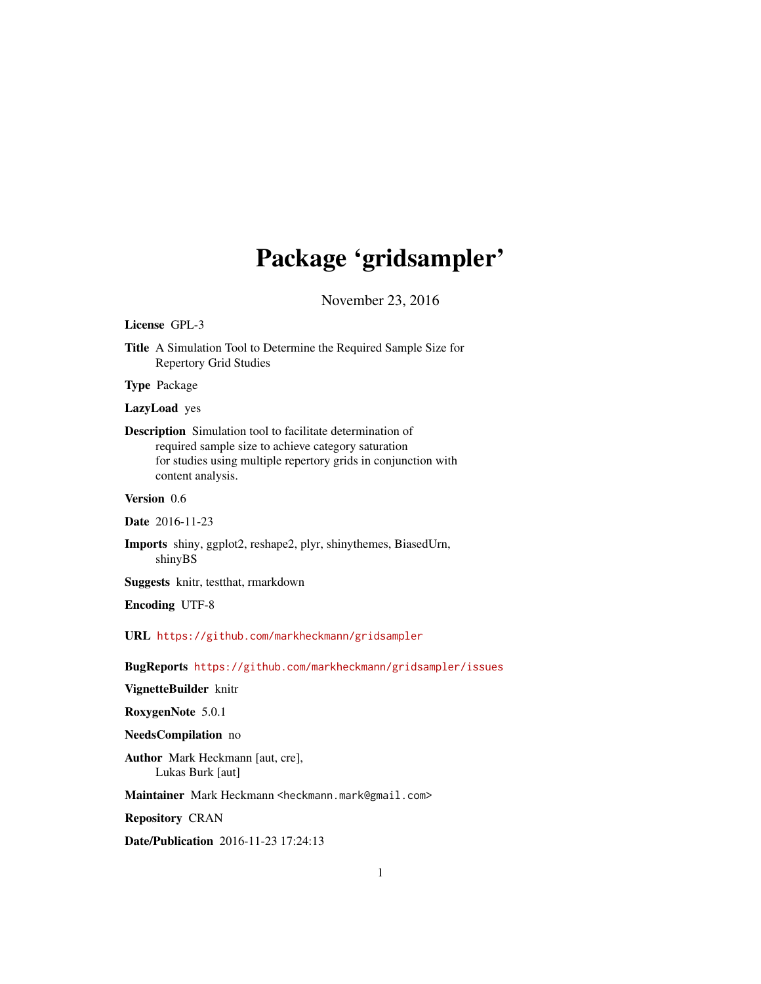## Package 'gridsampler'

November 23, 2016

#### <span id="page-0-0"></span>License GPL-3

Title A Simulation Tool to Determine the Required Sample Size for Repertory Grid Studies

Type Package

LazyLoad yes

Description Simulation tool to facilitate determination of required sample size to achieve category saturation for studies using multiple repertory grids in conjunction with content analysis.

Version 0.6

Date 2016-11-23

Imports shiny, ggplot2, reshape2, plyr, shinythemes, BiasedUrn, shinyBS

Suggests knitr, testthat, rmarkdown

Encoding UTF-8

URL <https://github.com/markheckmann/gridsampler>

BugReports <https://github.com/markheckmann/gridsampler/issues>

#### VignetteBuilder knitr

RoxygenNote 5.0.1

#### NeedsCompilation no

Author Mark Heckmann [aut, cre], Lukas Burk [aut]

Maintainer Mark Heckmann <heckmann.mark@gmail.com>

Repository CRAN

Date/Publication 2016-11-23 17:24:13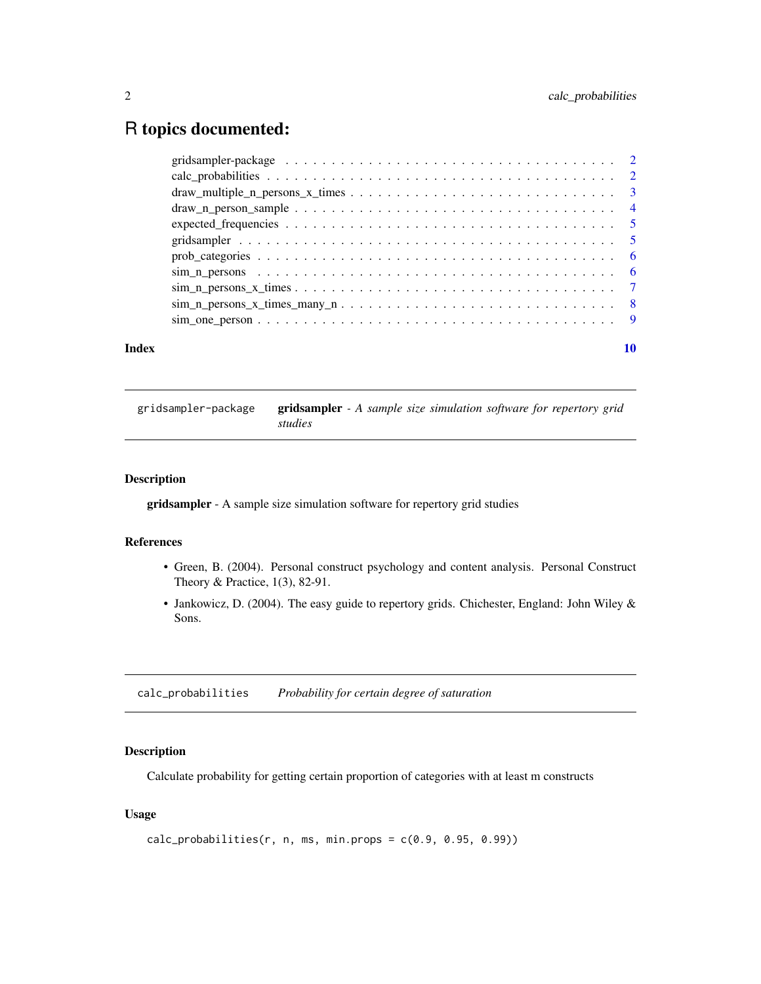### <span id="page-1-0"></span>R topics documented:

| Index |                                                                                                                                             | 10 |
|-------|---------------------------------------------------------------------------------------------------------------------------------------------|----|
|       |                                                                                                                                             |    |
|       |                                                                                                                                             |    |
|       |                                                                                                                                             |    |
|       |                                                                                                                                             |    |
|       |                                                                                                                                             |    |
|       |                                                                                                                                             |    |
|       | $expected_{\text{frequencies}} \dots \dots \dots \dots \dots \dots \dots \dots \dots \dots \dots \dots \dots \dots \dots \dots \dots \dots$ |    |
|       | $\text{draw}\_\text{n\_person}\_\text{sample}\ldots\ldots\ldots\ldots\ldots\ldots\ldots\ldots\ldots\ldots\ldots\ldots\ldots\quad4$          |    |
|       |                                                                                                                                             |    |
|       |                                                                                                                                             |    |
|       |                                                                                                                                             |    |

gridsampler-package gridsampler *- A sample size simulation software for repertory grid studies*

#### Description

gridsampler - A sample size simulation software for repertory grid studies

#### References

- Green, B. (2004). Personal construct psychology and content analysis. Personal Construct Theory & Practice, 1(3), 82-91.
- Jankowicz, D. (2004). The easy guide to repertory grids. Chichester, England: John Wiley & Sons.

<span id="page-1-1"></span>calc\_probabilities *Probability for certain degree of saturation*

#### Description

Calculate probability for getting certain proportion of categories with at least m constructs

#### Usage

```
calc_probabilities(r, n, ms, min.props = c(0.9, 0.95, 0.99))
```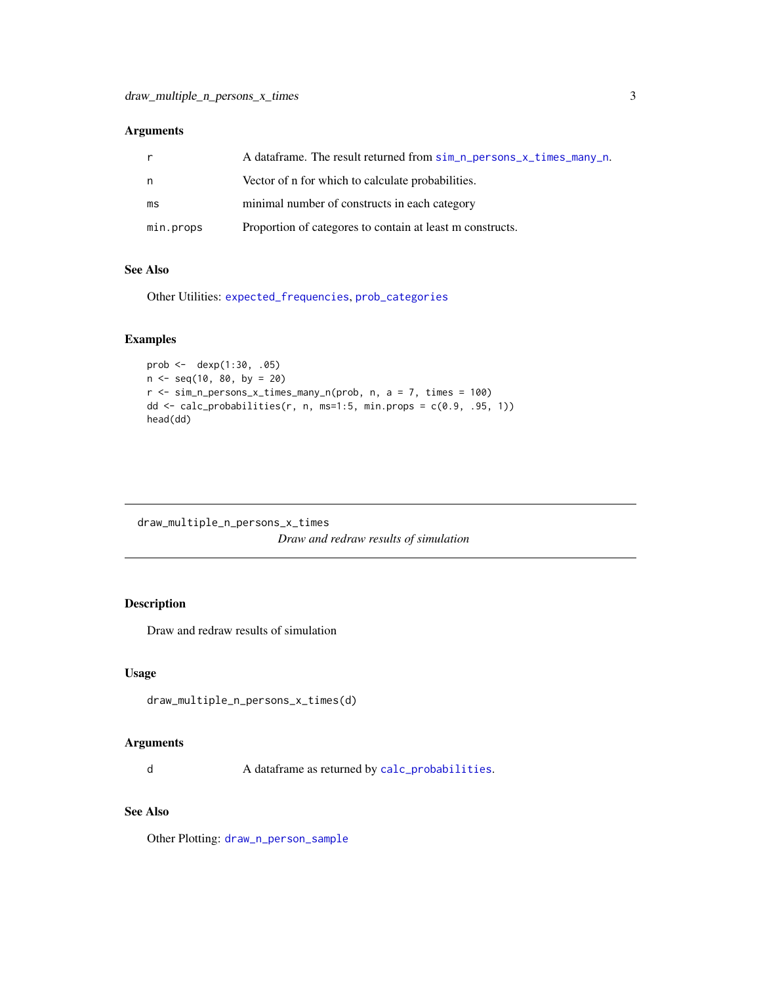#### <span id="page-2-0"></span>Arguments

|           | A dataframe. The result returned from sim_n_persons_x_times_many_n. |
|-----------|---------------------------------------------------------------------|
| n.        | Vector of n for which to calculate probabilities.                   |
| ms        | minimal number of constructs in each category                       |
| min.props | Proportion of categores to contain at least m constructs.           |

#### See Also

Other Utilities: [expected\\_frequencies](#page-4-1), [prob\\_categories](#page-5-1)

#### Examples

```
prob <- dexp(1:30, .05)
n <- seq(10, 80, by = 20)
r \leq -\sin_n_{\text{persons_x_times\_many_n(prob, n, a = 7, times = 100)}dd \leq calc_probabilities(r, n, ms=1:5, min.props = c(0.9, .95, 1))
head(dd)
```
<span id="page-2-1"></span>draw\_multiple\_n\_persons\_x\_times *Draw and redraw results of simulation*

#### Description

Draw and redraw results of simulation

#### Usage

draw\_multiple\_n\_persons\_x\_times(d)

#### Arguments

d A dataframe as returned by [calc\\_probabilities](#page-1-1).

#### See Also

Other Plotting: [draw\\_n\\_person\\_sample](#page-3-1)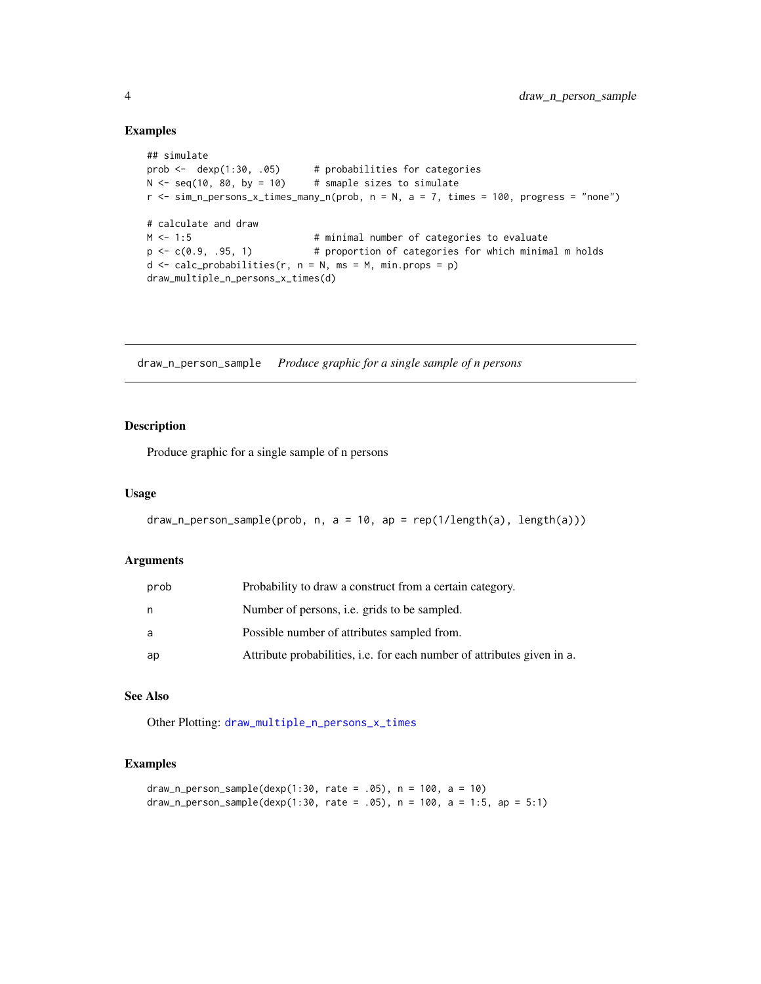#### Examples

```
## simulate
prob <- dexp(1:30, .05) # probabilities for categories
N < - seq(10, 80, by = 10) # smaple sizes to simulate
r \leq -\sin_{n}\frac{1}{2} persons_x_times_many_n(prob, n = N, a = 7, times = 100, progress = "none")
# calculate and draw
M <- 1:5 + minimal number of categories to evaluate
p \leftarrow c(0.9, .95, 1) # proportion of categories for which minimal m holds
d \leq calc\_probabilities(r, n = N, ms = M, min.props = p)draw_multiple_n_persons_x_times(d)
```
<span id="page-3-1"></span>draw\_n\_person\_sample *Produce graphic for a single sample of n persons*

#### Description

Produce graphic for a single sample of n persons

#### Usage

```
draw_n_person_sample(prob, n, a = 10, ap = rep(1/length(a), length(a)))
```
#### Arguments

| prob | Probability to draw a construct from a certain category.                       |
|------|--------------------------------------------------------------------------------|
| n    | Number of persons, i.e. grids to be sampled.                                   |
| a    | Possible number of attributes sampled from.                                    |
| ap   | Attribute probabilities, <i>i.e.</i> for each number of attributes given in a. |

#### See Also

Other Plotting: [draw\\_multiple\\_n\\_persons\\_x\\_times](#page-2-1)

#### Examples

```
draw_n_person_sample(dexp(1:30, rate = .05), n = 100, a = 10)
draw_n_person_sample(dexp(1:30, rate = .05), n = 100, a = 1:5, ap = 5:1)
```
<span id="page-3-0"></span>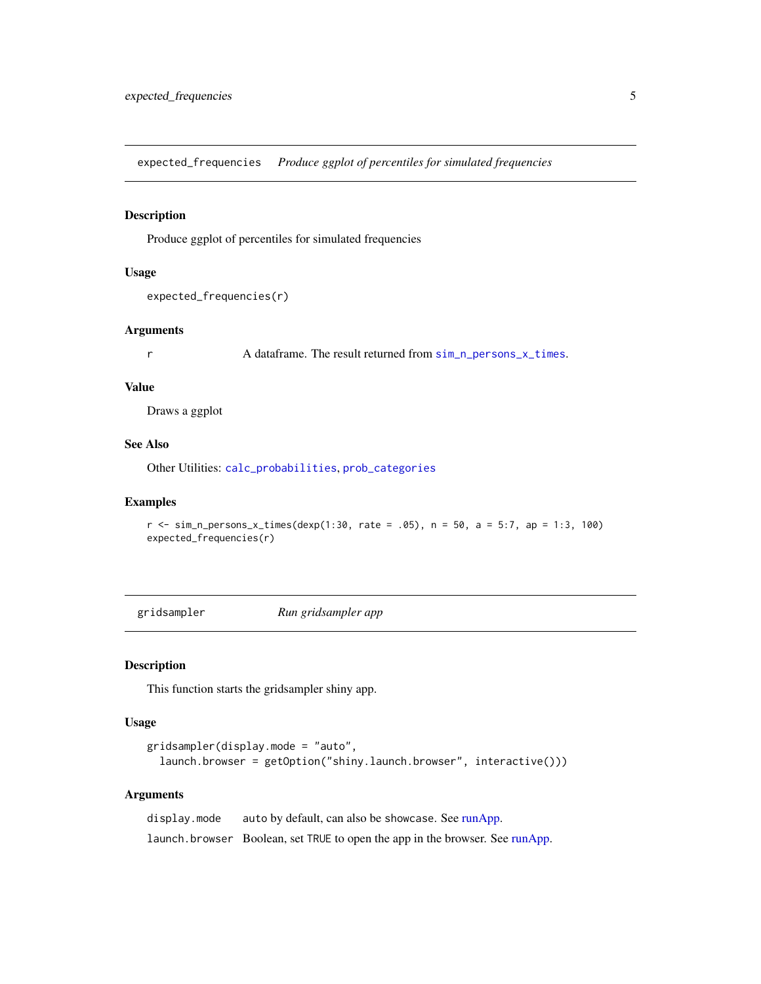<span id="page-4-1"></span><span id="page-4-0"></span>expected\_frequencies *Produce ggplot of percentiles for simulated frequencies*

#### Description

Produce ggplot of percentiles for simulated frequencies

#### Usage

```
expected_frequencies(r)
```
#### Arguments

r A dataframe. The result returned from [sim\\_n\\_persons\\_x\\_times](#page-6-1).

#### Value

Draws a ggplot

#### See Also

Other Utilities: [calc\\_probabilities](#page-1-1), [prob\\_categories](#page-5-1)

#### Examples

```
r <- sim_n_persons_x_times(dexp(1:30, rate = .05), n = 50, a = 5:7, ap = 1:3, 100)
expected_frequencies(r)
```
gridsampler *Run gridsampler app*

#### Description

This function starts the gridsampler shiny app.

#### Usage

```
gridsampler(display.mode = "auto",
 launch.browser = getOption("shiny.launch.browser", interactive()))
```
#### Arguments

| display.mode | auto by default, can also be showcase. See runApp.                            |
|--------------|-------------------------------------------------------------------------------|
|              | launch. browser Boolean, set TRUE to open the app in the browser. See runApp. |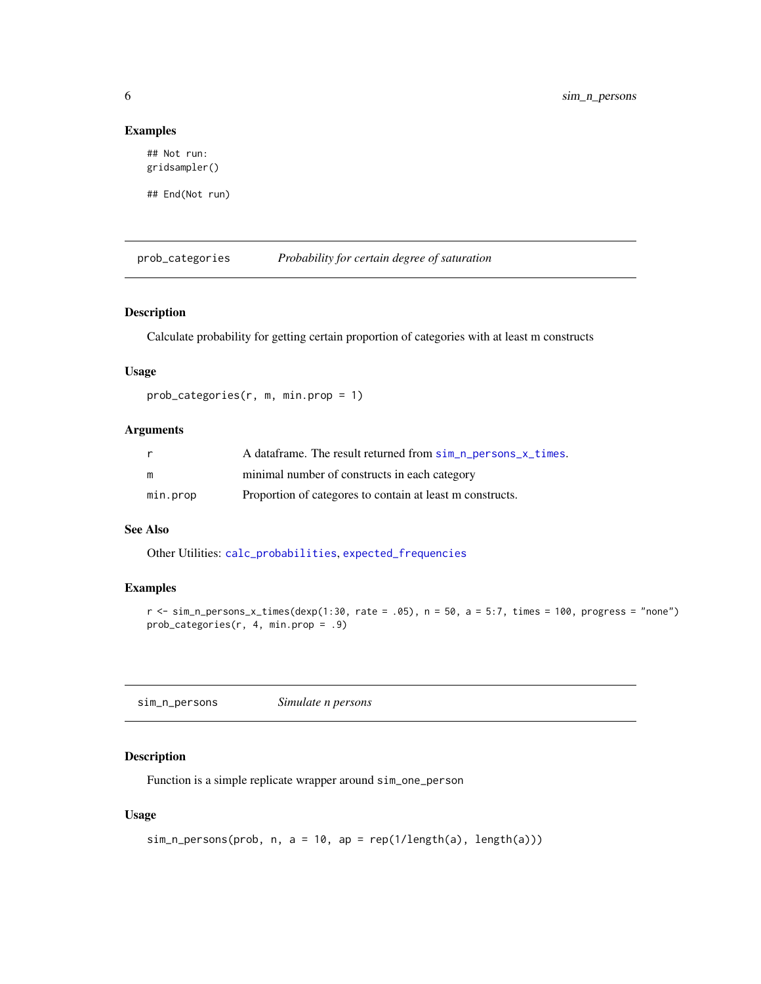#### Examples

## Not run: gridsampler()

## End(Not run)

<span id="page-5-1"></span>prob\_categories *Probability for certain degree of saturation*

#### Description

Calculate probability for getting certain proportion of categories with at least m constructs

#### Usage

prob\_categories(r, m, min.prop = 1)

#### Arguments

|          | A dataframe. The result returned from sim_n_persons_x_times. |
|----------|--------------------------------------------------------------|
| m        | minimal number of constructs in each category                |
| min.prop | Proportion of categores to contain at least m constructs.    |

#### See Also

Other Utilities: [calc\\_probabilities](#page-1-1), [expected\\_frequencies](#page-4-1)

#### Examples

 $r$  <- sim\_n\_persons\_x\_times(dexp(1:30, rate = .05), n = 50, a = 5:7, times = 100, progress = "none") prob\_categories(r, 4, min.prop = .9)

<span id="page-5-2"></span>sim\_n\_persons *Simulate n persons*

#### Description

Function is a simple replicate wrapper around sim\_one\_person

#### Usage

```
sim_n_{persons(prob, n, a = 10, ap = rep(1/length(a), length(a)))
```
<span id="page-5-0"></span>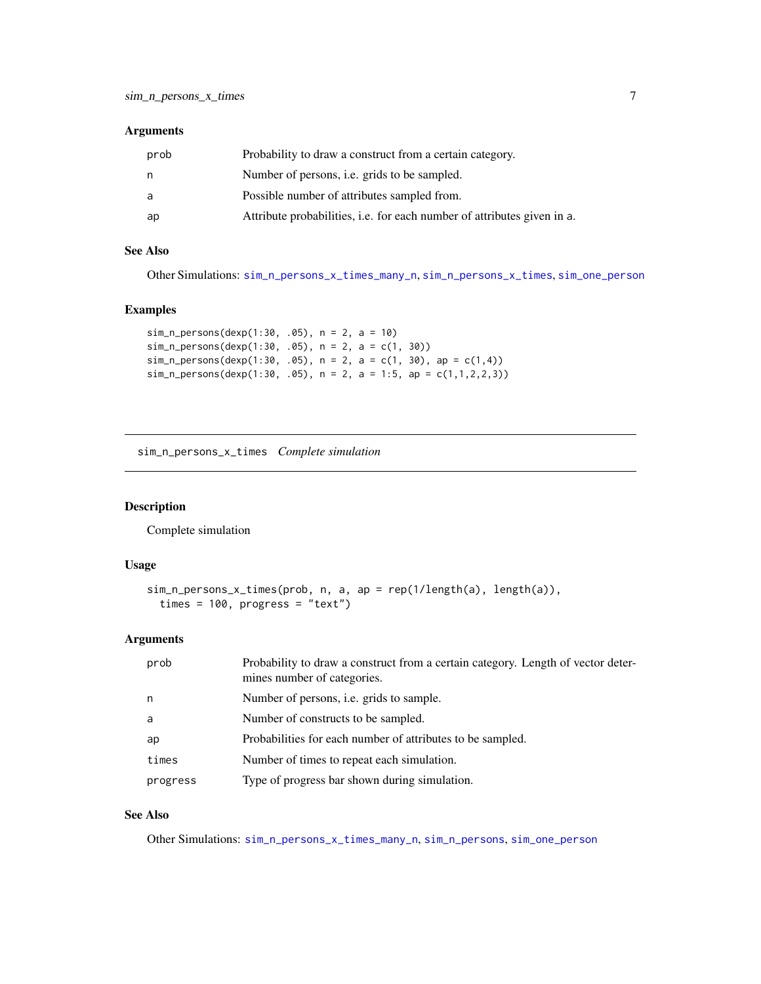#### <span id="page-6-0"></span>Arguments

| prob | Probability to draw a construct from a certain category.                |
|------|-------------------------------------------------------------------------|
| n    | Number of persons, <i>i.e.</i> grids to be sampled.                     |
| a    | Possible number of attributes sampled from.                             |
| ap   | Attribute probabilities, i.e. for each number of attributes given in a. |

#### See Also

Other Simulations: [sim\\_n\\_persons\\_x\\_times\\_many\\_n](#page-7-1), [sim\\_n\\_persons\\_x\\_times](#page-6-1), [sim\\_one\\_person](#page-8-1)

#### Examples

```
sim_n_persons(dexp(1:30, .05), n = 2, a = 10)
sim_n_persons(dexp(1:30, .05), n = 2, a = c(1, 30))
sim\_n\_persons(dexp(1:30, .05), n = 2, a = c(1, 30), ap = c(1, 4))sim_n_persons(dexp(1:30, .05), n = 2, a = 1:5, ap = c(1,1,2,2,3))
```
<span id="page-6-1"></span>sim\_n\_persons\_x\_times *Complete simulation*

#### Description

Complete simulation

#### Usage

```
sim_n_persons_x_times(prob, n, a, ap = rep(1/length(a), length(a)),
  times = 100, progress = "text")
```
#### Arguments

| prob     | Probability to draw a construct from a certain category. Length of vector deter-<br>mines number of categories. |
|----------|-----------------------------------------------------------------------------------------------------------------|
| n        | Number of persons, <i>i.e.</i> grids to sample.                                                                 |
| a        | Number of constructs to be sampled.                                                                             |
| ap       | Probabilities for each number of attributes to be sampled.                                                      |
| times    | Number of times to repeat each simulation.                                                                      |
| progress | Type of progress bar shown during simulation.                                                                   |

#### See Also

Other Simulations: [sim\\_n\\_persons\\_x\\_times\\_many\\_n](#page-7-1), [sim\\_n\\_persons](#page-5-2), [sim\\_one\\_person](#page-8-1)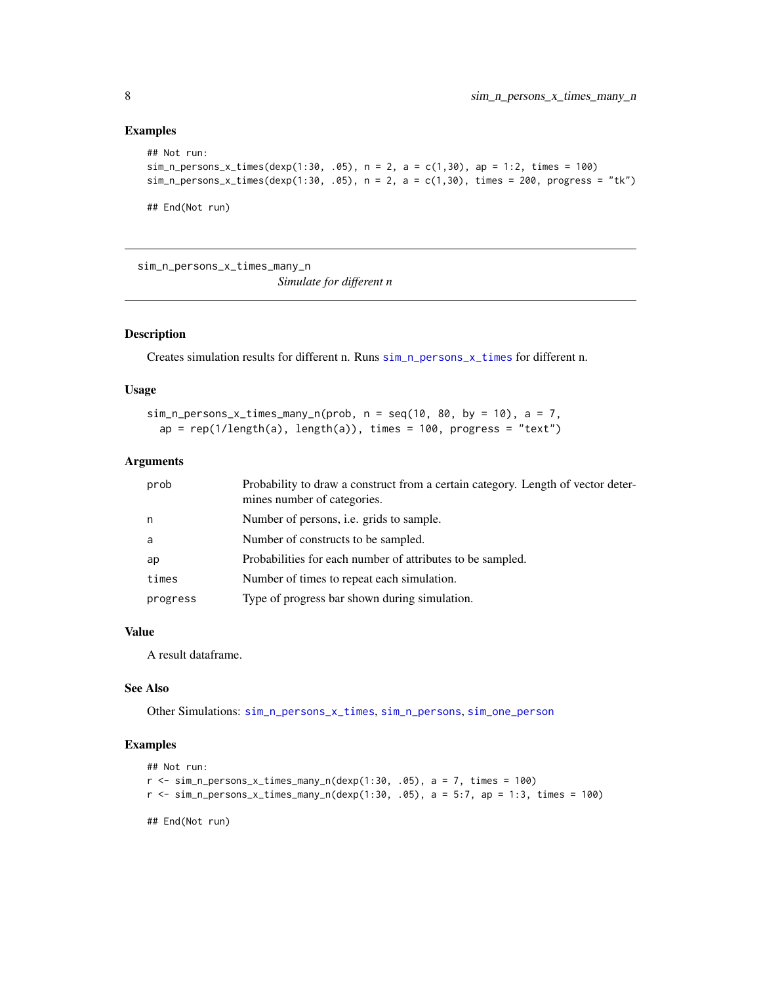#### Examples

```
## Not run:
sim_n_{person\_x_t times(dexp(1:30, .05), n = 2, a = c(1,30), ap = 1:2, times = 100)sim\_n\_persons\_x\_times(dexp(1:30, .05), n = 2, a = c(1,30), times = 200, progress = "tk")## End(Not run)
```
<span id="page-7-1"></span>sim\_n\_persons\_x\_times\_many\_n

*Simulate for different n*

#### Description

Creates simulation results for different n. Runs [sim\\_n\\_persons\\_x\\_times](#page-6-1) for different n.

#### Usage

```
sim_n_{persons_x_times_many_n(prob, n = seq(10, 80, by = 10), a = 7,ap = rep(1/length(a), length(a)), time = 100, progress = "text")
```
#### Arguments

| prob     | Probability to draw a construct from a certain category. Length of vector deter-<br>mines number of categories. |
|----------|-----------------------------------------------------------------------------------------------------------------|
| n.       | Number of persons, i.e. grids to sample.                                                                        |
| a        | Number of constructs to be sampled.                                                                             |
| ap       | Probabilities for each number of attributes to be sampled.                                                      |
| times    | Number of times to repeat each simulation.                                                                      |
| progress | Type of progress bar shown during simulation.                                                                   |

#### Value

A result dataframe.

#### See Also

Other Simulations: [sim\\_n\\_persons\\_x\\_times](#page-6-1), [sim\\_n\\_persons](#page-5-2), [sim\\_one\\_person](#page-8-1)

#### Examples

```
## Not run:
r \leq \text{sim\_n\_ persons\_x\_times\_many\_n}(dexp(1:30, .05), a = 7, times = 100)r <- sim_n_persons_x_times_many_n(dexp(1:30, .05), a = 5:7, ap = 1:3, times = 100)
```
## End(Not run)

<span id="page-7-0"></span>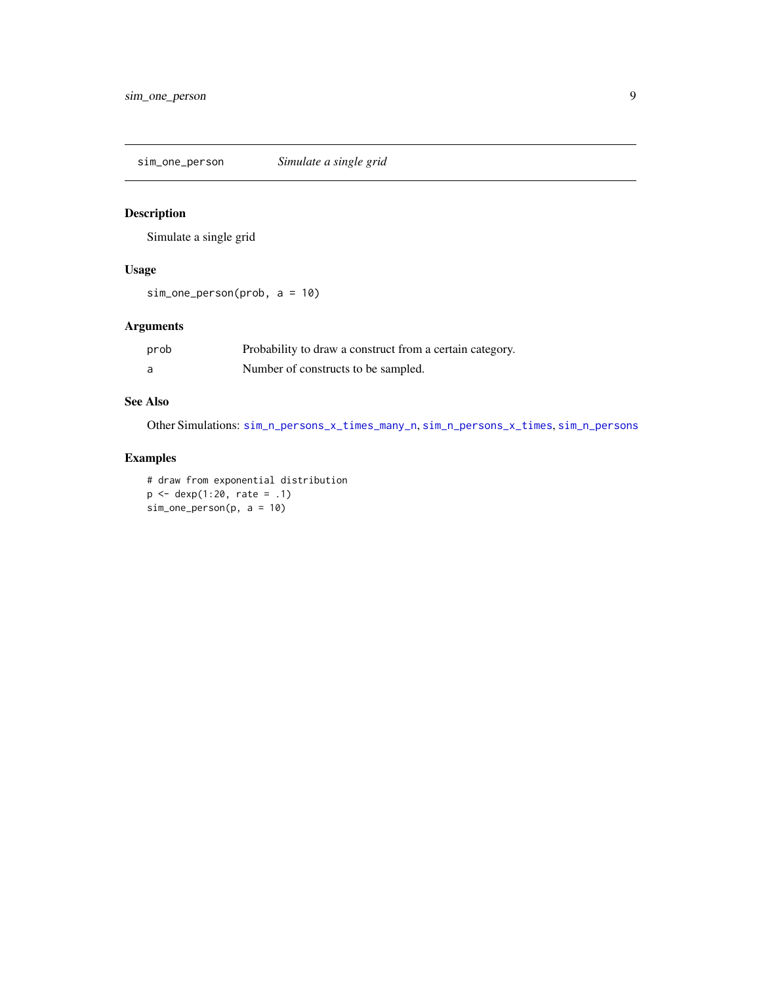<span id="page-8-1"></span><span id="page-8-0"></span>sim\_one\_person *Simulate a single grid*

#### Description

Simulate a single grid

#### Usage

sim\_one\_person(prob, a = 10)

#### Arguments

| prob | Probability to draw a construct from a certain category. |
|------|----------------------------------------------------------|
|      | Number of constructs to be sampled.                      |

#### See Also

Other Simulations: [sim\\_n\\_persons\\_x\\_times\\_many\\_n](#page-7-1), [sim\\_n\\_persons\\_x\\_times](#page-6-1), [sim\\_n\\_persons](#page-5-2)

#### Examples

# draw from exponential distribution p <- dexp(1:20, rate = .1)  $sim\_one\_person(p, a = 10)$